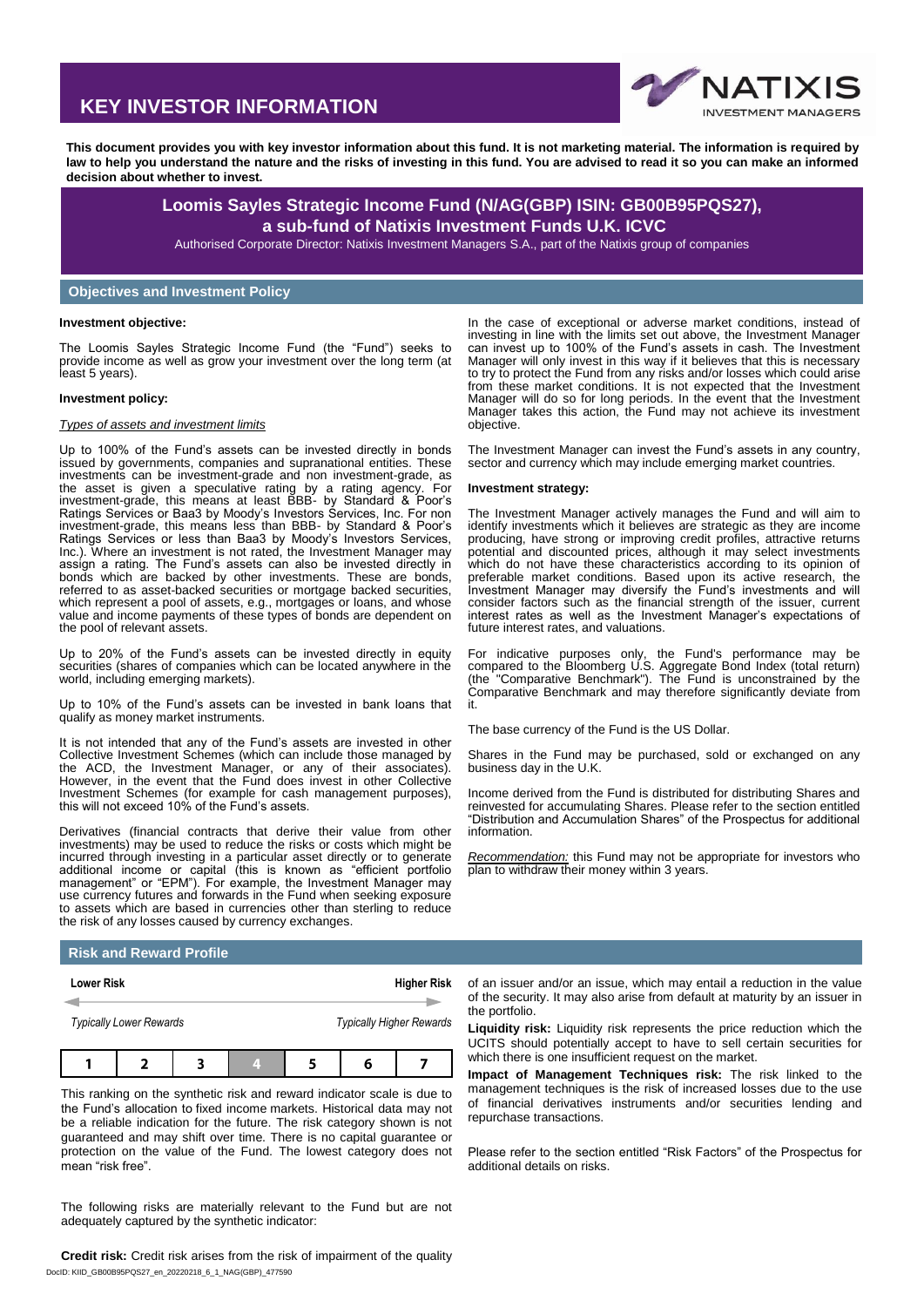# **KEY INVESTOR INFORMATION**



**This document provides you with key investor information about this fund. It is not marketing material. The information is required by law to help you understand the nature and the risks of investing in this fund. You are advised to read it so you can make an informed decision about whether to invest.**

## **Loomis Sayles Strategic Income Fund (N/AG(GBP) ISIN: GB00B95PQS27), a sub-fund of Natixis Investment Funds U.K. ICVC**

Authorised Corporate Director: Natixis Investment Managers S.A., part of the Natixis group of companies

## **Objectives and Investment Policy**

#### **Investment objective:**

The Loomis Sayles Strategic Income Fund (the "Fund") seeks to provide income as well as grow your investment over the long term (at least 5 years).

#### **Investment policy:**

#### *Types of assets and investment limits*

Up to 100% of the Fund's assets can be invested directly in bonds issued by governments, companies and supranational entities. These investments can be investment-grade and non investment-grade, as the asset is given a speculative rating by a rating agency. For investment-grade, this means at least BBB- by Standard & Poor's Ratings Services or Baa3 by Moody's Investors Services, Inc. For non investment-grade, this means less than BBB- by Standard & Poor's Ratings Services or less than Baa3 by Moody's Investors Services, Inc.). Where an investment is not rated, the Investment Manager may assign a rating. The Fund's assets can also be invested directly in bonds which are backed by other investments. These are bonds, referred to as asset-backed securities or mortgage backed securities, which represent a pool of assets, e.g., mortgages or loans, and whose value and income payments of these types of bonds are dependent on the pool of relevant assets.

Up to 20% of the Fund's assets can be invested directly in equity securities (shares of companies which can be located anywhere in the world, including emerging markets).

Up to 10% of the Fund's assets can be invested in bank loans that qualify as money market instruments.

It is not intended that any of the Fund's assets are invested in other Collective Investment Schemes (which can include those managed by the ACD, the Investment Manager, or any of their associates). However, in the event that the Fund does invest in other Collective Investment Schemes (for example for cash management purposes), this will not exceed 10% of the Fund's assets.

Derivatives (financial contracts that derive their value from other investments) may be used to reduce the risks or costs which might be incurred through investing in a particular asset directly or to generate additional income or capital (this is known as "efficient portfolio management" or "EPM"). For example, the Investment Manager may use currency futures and forwards in the Fund when seeking exposure to assets which are based in currencies other than sterling to reduce the risk of any losses caused by currency exchanges.

#### In the case of exceptional or adverse market conditions, instead of investing in line with the limits set out above, the Investment Manager can invest up to 100% of the Fund's assets in cash. The Investment Manager will only invest in this way if it believes that this is necessary to try to protect the Fund from any risks and/or losses which could arise from these market conditions. It is not expected that the Investment Manager will do so for long periods. In the event that the Investment Manager takes this action, the Fund may not achieve its investment objective.

The Investment Manager can invest the Fund's assets in any country, sector and currency which may include emerging market countries.

#### **Investment strategy:**

The Investment Manager actively manages the Fund and will aim to identify investments which it believes are strategic as they are income producing, have strong or improving credit profiles, attractive returns potential and discounted prices, although it may select investments which do not have these characteristics according to its opinion of preferable market conditions. Based upon its active research, the Investment Manager may diversify the Fund's investments and will consider factors such as the financial strength of the issuer, current interest rates as well as the Investment Manager's expectations of future interest rates, and valuations.

For indicative purposes only, the Fund's performance may be compared to the Bloomberg U.S. Aggregate Bond Index (total return) (the "Comparative Benchmark"). The Fund is unconstrained by the Comparative Benchmark and may therefore significantly deviate from it.

The base currency of the Fund is the US Dollar.

Shares in the Fund may be purchased, sold or exchanged on any business day in the U.K.

Income derived from the Fund is distributed for distributing Shares and reinvested for accumulating Shares. Please refer to the section entitled "Distribution and Accumulation Shares" of the Prospectus for additional information.

*Recommendation:* this Fund may not be appropriate for investors who plan to withdraw their money within 3 years.

### **Risk and Reward Profile**

| <b>Lower Risk</b> |                                |  | <b>Higher Risk</b>              |  |  |  |  |
|-------------------|--------------------------------|--|---------------------------------|--|--|--|--|
|                   | <b>Typically Lower Rewards</b> |  | <b>Typically Higher Rewards</b> |  |  |  |  |
|                   |                                |  | u                               |  |  |  |  |

This ranking on the synthetic risk and reward indicator scale is due to the Fund's allocation to fixed income markets. Historical data may not be a reliable indication for the future. The risk category shown is not guaranteed and may shift over time. There is no capital guarantee or protection on the value of the Fund. The lowest category does not mean "risk free".

The following risks are materially relevant to the Fund but are not adequately captured by the synthetic indicator:

DocID: KIID\_GB00B95PQS27\_en\_20220218\_6\_1\_NAG(GBP)\_477590 **Credit risk:** Credit risk arises from the risk of impairment of the quality

of an issuer and/or an issue, which may entail a reduction in the value of the security. It may also arise from default at maturity by an issuer in the portfolio.

**Liquidity risk:** Liquidity risk represents the price reduction which the UCITS should potentially accept to have to sell certain securities for which there is one insufficient request on the market.

**Impact of Management Techniques risk:** The risk linked to the management techniques is the risk of increased losses due to the use of financial derivatives instruments and/or securities lending and repurchase transactions.

Please refer to the section entitled "Risk Factors" of the Prospectus for additional details on risks.